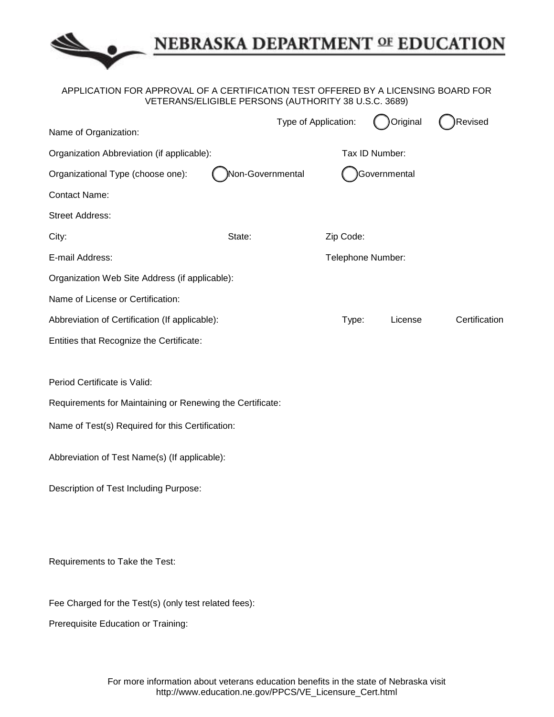

## NEBRASKA DEPARTMENT OF EDUCATION

## APPLICATION FOR APPROVAL OF A CERTIFICATION TEST OFFERED BY A LICENSING BOARD FOR VETERANS/ELIGIBLE PERSONS (AUTHORITY 38 U.S.C. 3689)

| Name of Organization:                                     |                   | Type of Application: | Original       | Revised       |
|-----------------------------------------------------------|-------------------|----------------------|----------------|---------------|
| Organization Abbreviation (if applicable):                |                   |                      | Tax ID Number: |               |
| Organizational Type (choose one):                         | Non-Governmental  |                      | Governmental   |               |
| <b>Contact Name:</b>                                      |                   |                      |                |               |
| <b>Street Address:</b>                                    |                   |                      |                |               |
| City:                                                     | State:            | Zip Code:            |                |               |
| E-mail Address:                                           | Telephone Number: |                      |                |               |
| Organization Web Site Address (if applicable):            |                   |                      |                |               |
| Name of License or Certification:                         |                   |                      |                |               |
| Abbreviation of Certification (If applicable):            |                   | Type:                | License        | Certification |
| Entities that Recognize the Certificate:                  |                   |                      |                |               |
| Period Certificate is Valid:                              |                   |                      |                |               |
| Requirements for Maintaining or Renewing the Certificate: |                   |                      |                |               |
| Name of Test(s) Required for this Certification:          |                   |                      |                |               |
| Abbreviation of Test Name(s) (If applicable):             |                   |                      |                |               |
| Description of Test Including Purpose:                    |                   |                      |                |               |
|                                                           |                   |                      |                |               |
| Requirements to Take the Test:                            |                   |                      |                |               |
| Fee Charged for the Test(s) (only test related fees):     |                   |                      |                |               |

Prerequisite Education or Training: